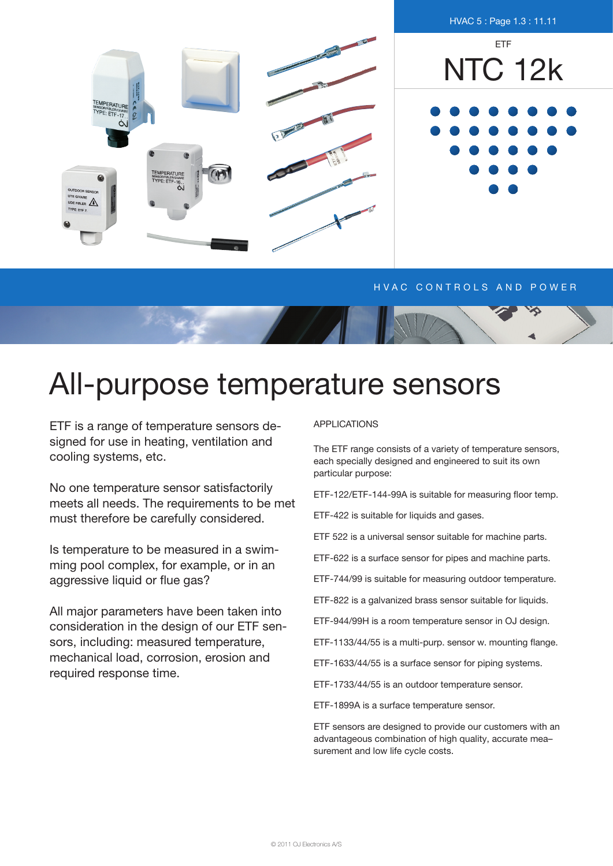

## H V A C CONTROLS AND POWER



ETF is a range of temperature sensors designed for use in heating, ventilation and cooling systems, etc.

No one temperature sensor satisfactorily meets all needs. The requirements to be met must therefore be carefully considered.

Is temperature to be measured in a swimming pool complex, for example, or in an aggressive liquid or flue gas?

All major parameters have been taken into consideration in the design of our ETF sensors, including: measured temperature, mechanical load, corrosion, erosion and required response time.

## applications

The ETF range consists of a variety of temperature sensors, each specially designed and engineered to suit its own particular purpose:

ETF-122/ETF-144-99A is suitable for measuring floor temp.

ETF-422 is suitable for liquids and gases.

ETF 522 is a universal sensor suitable for machine parts.

ETF-622 is a surface sensor for pipes and machine parts.

ETF-744/99 is suitable for measuring outdoor temperature.

ETF-822 is a galvanized brass sensor suitable for liquids.

ETF-944/99H is a room temperature sensor in OJ design.

ETF-1133/44/55 is a multi-purp. sensor w. mounting flange.

ETF-1633/44/55 is a surface sensor for piping systems.

ETF-1733/44/55 is an outdoor temperature sensor.

ETF-1899A is a surface temperature sensor.

ETF sensors are designed to provide our customers with an advantageous combination of high quality, accurate mea– surement and low life cycle costs.